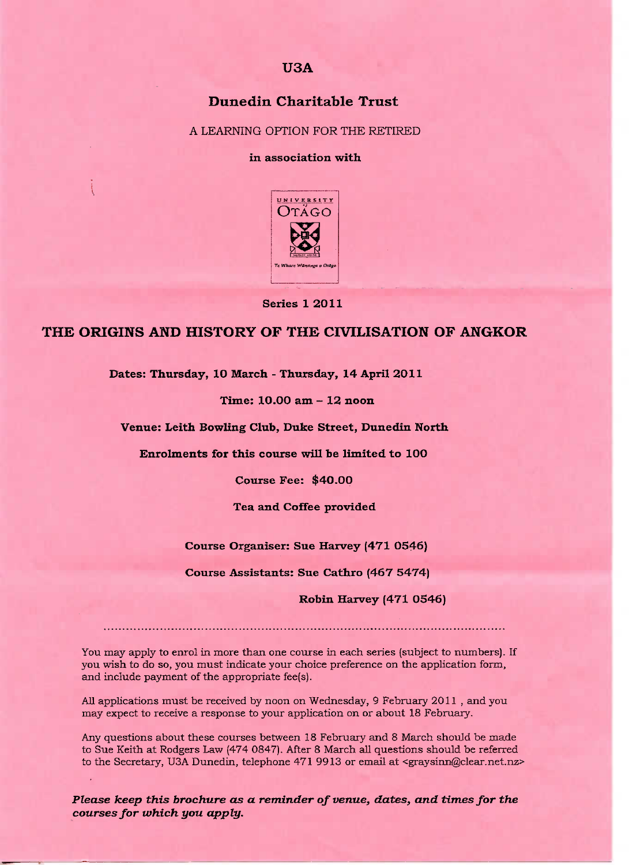#### **USA**

# **Dunedin Charitable Trust**

A LEARNING OPTION FOR THE RETIRED

#### in association with



**Series 1 2O11**

## **THE ORIGINS AND HISTORY OF THE CIVILISATION OF ANGKOR**

**Dates: Thursday, 10 March - Thursday, 14 April 2011**

**Time: 10.00 am - 12 noon**

**Venue: Leith Bowling Club, Duke Street, Dunedin North**

**Enrolments for this course will be limited to 10O**

**Course Fee: \$40.00**

**Tea and Coffee provided**

**Course Organiser: Sue Harvey (471 O546)**

**Course Assistants: Sue Cathro (467 5474)**

**Robin Harvey (471 0546)**

You may apply to enrol in more than one course in each series (subject to numbers). If you wish to do so, you must indicate your choice preference on the application form, and include payment of the appropriate fee(s).

All applications must be received by noon on Wednesday, 9 February 2011 , and you may expect to receive a response to your application on or about 18 February.

Any questions about these courses between 18 February and 8 March should be made to Sue Keith at Rodgers Law (474 0847). After 8 March all questions should be referred to the Secretary, U3A Dunedin, telephone 471 9913 or email at <graysinn@clear.net.nz>

*Please keep this brochure as a reminder of venue, dates, and times for the courses for which you apply.*